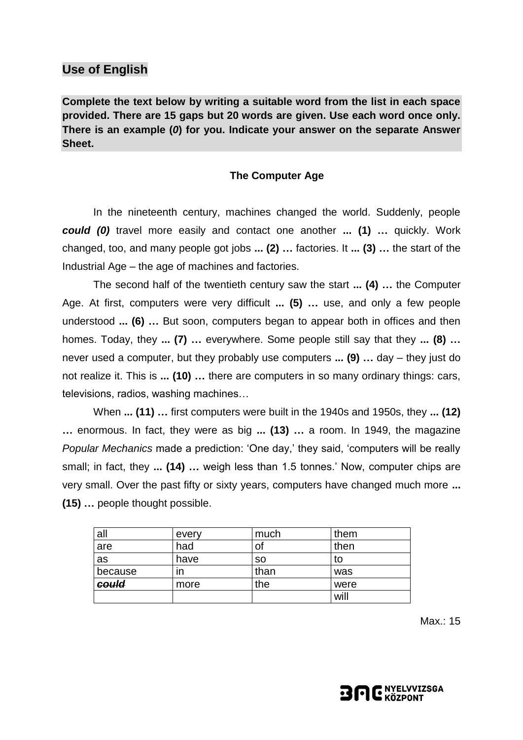## **Use of English**

**Complete the text below by writing a suitable word from the list in each space provided. There are 15 gaps but 20 words are given. Use each word once only. There is an example (***0***) for you. Indicate your answer on the separate Answer Sheet.**

#### **The Computer Age**

In the nineteenth century, machines changed the world. Suddenly, people *could (0)* travel more easily and contact one another **... (1) …** quickly. Work changed, too, and many people got jobs **... (2) …** factories. It **... (3) …** the start of the Industrial Age – the age of machines and factories.

The second half of the twentieth century saw the start **... (4) …** the Computer Age. At first, computers were very difficult **... (5) …** use, and only a few people understood **... (6) …** But soon, computers began to appear both in offices and then homes. Today, they **... (7) …** everywhere. Some people still say that they **... (8) …** never used a computer, but they probably use computers **... (9) …** day – they just do not realize it. This is **... (10) …** there are computers in so many ordinary things: cars, televisions, radios, washing machines…

When **... (11) …** first computers were built in the 1940s and 1950s, they **... (12) …** enormous. In fact, they were as big **... (13) …** a room. In 1949, the magazine *Popular Mechanics* made a prediction: 'One day,' they said, 'computers will be really small; in fact, they **... (14) …** weigh less than 1.5 tonnes.' Now, computer chips are very small. Over the past fifty or sixty years, computers have changed much more **... (15) …** people thought possible.

| all     | every | much      | them |
|---------|-------|-----------|------|
| are     | had   | ΟĪ        | then |
| as      | have  | <b>SO</b> | to   |
| because | ın    | than      | was  |
| could   | more  | the       | were |
|         |       |           | will |

Max.: 15

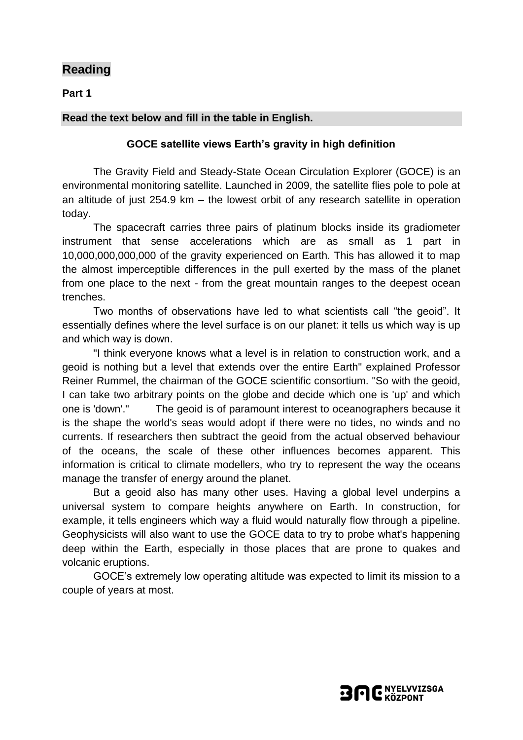## **Reading**

**Part 1**

### **Read the text below and fill in the table in English.**

#### **GOCE satellite views Earth's gravity in high definition**

The Gravity Field and Steady-State Ocean Circulation Explorer (GOCE) is an environmental monitoring satellite. Launched in 2009, the satellite flies pole to pole at an altitude of just 254.9 km – the lowest orbit of any research satellite in operation today.

The spacecraft carries three pairs of platinum blocks inside its gradiometer instrument that sense accelerations which are as small as 1 part in 10,000,000,000,000 of the gravity experienced on Earth. This has allowed it to map the almost imperceptible differences in the pull exerted by the mass of the planet from one place to the next - from the great mountain ranges to the deepest ocean trenches.

Two months of observations have led to what scientists call "the geoid". It essentially defines where the level surface is on our planet: it tells us which way is up and which way is down.

"I think everyone knows what a level is in relation to construction work, and a geoid is nothing but a level that extends over the entire Earth" explained Professor Reiner Rummel, the chairman of the GOCE scientific consortium. "So with the geoid, I can take two arbitrary points on the globe and decide which one is 'up' and which one is 'down'." The geoid is of paramount interest to oceanographers because it is the shape the world's seas would adopt if there were no tides, no winds and no currents. If researchers then subtract the geoid from the actual observed behaviour of the oceans, the scale of these other influences becomes apparent. This information is critical to climate modellers, who try to represent the way the oceans manage the transfer of energy around the planet.

But a geoid also has many other uses. Having a global level underpins a universal system to compare heights anywhere on Earth. In construction, for example, it tells engineers which way a fluid would naturally flow through a pipeline. Geophysicists will also want to use the GOCE data to try to probe what's happening deep within the Earth, especially in those places that are prone to quakes and volcanic eruptions.

GOCE's extremely low operating altitude was expected to limit its mission to a couple of years at most.

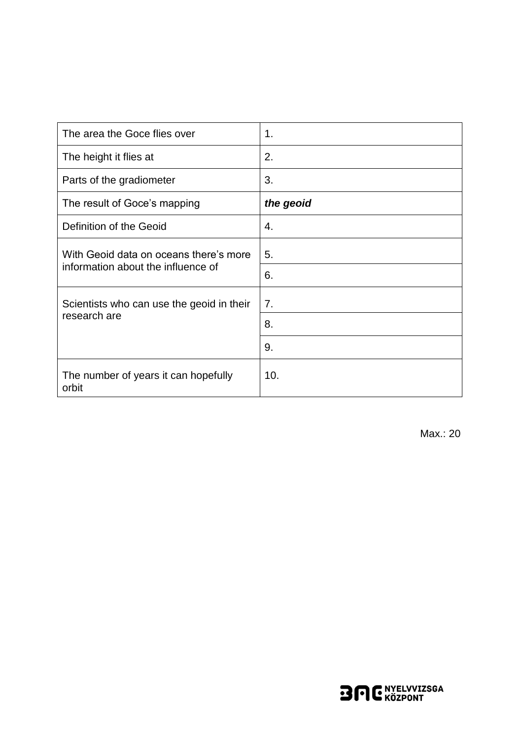| The area the Goce flies over                  | 1.        |
|-----------------------------------------------|-----------|
| The height it flies at                        | 2.        |
| Parts of the gradiometer                      | 3.        |
| The result of Goce's mapping                  | the geoid |
| Definition of the Geoid                       | 4.        |
| With Geoid data on oceans there's more        | 5.        |
| information about the influence of            | 6.        |
| Scientists who can use the geoid in their     | 7.        |
| research are                                  | 8.        |
|                                               | 9.        |
| The number of years it can hopefully<br>orbit | 10.       |

Max.: 20

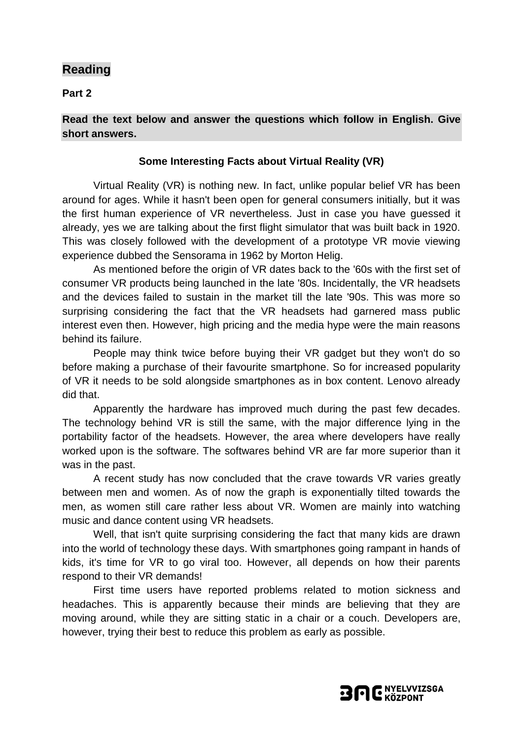## **Reading**

**Part 2**

**Read the text below and answer the questions which follow in English. Give short answers.**

### **Some Interesting Facts about Virtual Reality (VR)**

Virtual Reality (VR) is nothing new. In fact, unlike popular belief VR has been around for ages. While it hasn't been open for general consumers initially, but it was the first human experience of VR nevertheless. Just in case you have guessed it already, yes we are talking about the first flight simulator that was built back in 1920. This was closely followed with the development of a prototype VR movie viewing experience dubbed the Sensorama in 1962 by Morton Helig.

As mentioned before the origin of VR dates back to the '60s with the first set of consumer VR products being launched in the late '80s. Incidentally, the VR headsets and the devices failed to sustain in the market till the late '90s. This was more so surprising considering the fact that the VR headsets had garnered mass public interest even then. However, high pricing and the media hype were the main reasons behind its failure.

People may think twice before buying their VR gadget but they won't do so before making a purchase of their favourite smartphone. So for increased popularity of VR it needs to be sold alongside smartphones as in box content. Lenovo already did that.

Apparently the hardware has improved much during the past few decades. The technology behind VR is still the same, with the major difference lying in the portability factor of the headsets. However, the area where developers have really worked upon is the software. The softwares behind VR are far more superior than it was in the past.

A recent study has now concluded that the crave towards VR varies greatly between men and women. As of now the graph is exponentially tilted towards the men, as women still care rather less about VR. Women are mainly into watching music and dance content using VR headsets.

Well, that isn't quite surprising considering the fact that many kids are drawn into the world of technology these days. With smartphones going rampant in hands of kids, it's time for VR to go viral too. However, all depends on how their parents respond to their VR demands!

First time users have reported problems related to motion sickness and headaches. This is apparently because their minds are believing that they are moving around, while they are sitting static in a chair or a couch. Developers are, however, trying their best to reduce this problem as early as possible.

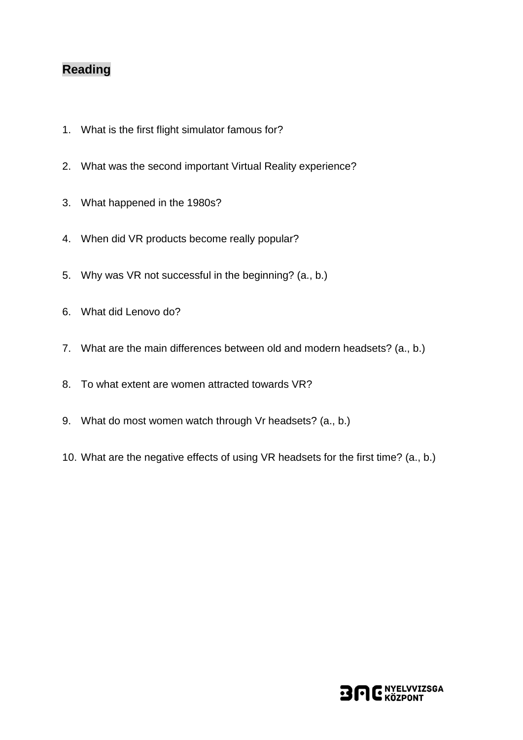# **Reading**

- 1. What is the first flight simulator famous for?
- 2. What was the second important Virtual Reality experience?
- 3. What happened in the 1980s?
- 4. When did VR products become really popular?
- 5. Why was VR not successful in the beginning? (a., b.)
- 6. What did Lenovo do?
- 7. What are the main differences between old and modern headsets? (a., b.)
- 8. To what extent are women attracted towards VR?
- 9. What do most women watch through Vr headsets? (a., b.)
- 10. What are the negative effects of using VR headsets for the first time? (a., b.)